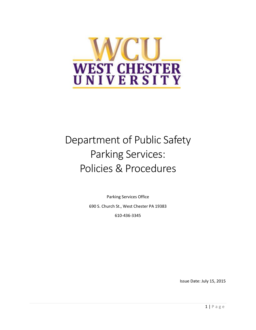

# Department of Public Safety Parking Services: Policies & Procedures

Parking Services Office 690 S. Church St., West Chester PA 19383 610-436-3345

Issue Date: July 15, 2015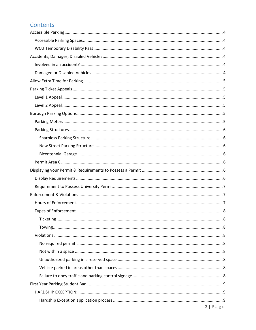# Contents

| $2   P \text{age}$ |  |
|--------------------|--|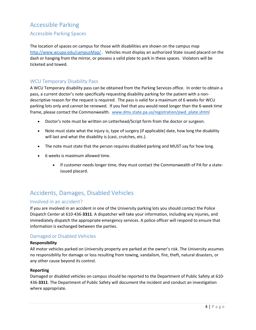# <span id="page-3-0"></span>Accessible Parking

### <span id="page-3-1"></span>Accessible Parking Spaces

The location of spaces on campus for those with disabilities are shown on the campus map <http://www.wcupa.edu/campusMap/> . Vehicles must display an authorized State issued placard on the dash or hanging from the mirror, or possess a valid plate to park in these spaces. Violators will be ticketed and towed.

### <span id="page-3-2"></span>WCU Temporary Disability Pass

A WCU Temporary disability pass can be obtained from the Parking Services office. In order to obtain a pass, a current doctor's note specifically requesting disability parking for the patient with a nondescriptive reason for the request is required. The pass is valid for a maximum of 6 weeks for WCU parking lots only and cannot be renewed. If you feel that you would need longer than the 6-week time frame, please contact the Commonwealth. [www.dmv.state.pa.us/registration/pwd\\_plate.shtml](http://www.dmv.state.pa.us/registration/pwd_plate.shtml)

- Doctor's note must be written on Letterhead/Script form from the doctor or surgeon.
- Note must state what the injury is, type of surgery (if applicable) date, how long the disability will last and what the disability is (cast, crutches, etc.).
- The note must state that the person requires disabled parking and MUST say for how long.
- 6 weeks is maximum allowed time.
	- If customer needs longer time, they must contact the Commonwealth of PA for a stateissued placard.

# <span id="page-3-3"></span>Accidents, Damages, Disabled Vehicles

#### <span id="page-3-4"></span>Involved in an accident?

If you are involved in an accident in one of the University parking lots you should contact the Police Dispatch Center at 610-436-**3311**. A dispatcher will take your information, including any injuries, and immediately dispatch the appropriate emergency services. A police officer will respond to ensure that information is exchanged between the parties.

#### <span id="page-3-5"></span>Damaged or Disabled Vehicles

#### **Responsibility**

All motor vehicles parked on University property are parked at the owner's risk. The University assumes no responsibility for damage or loss resulting from towing, vandalism, fire, theft, natural disasters, or any other cause beyond its control.

#### **Reporting**

Damaged or disabled vehicles on campus should be reported to the Department of Public Safety at 610- 436-**3311**. The Department of Public Safety will document the incident and conduct an investigation where appropriate.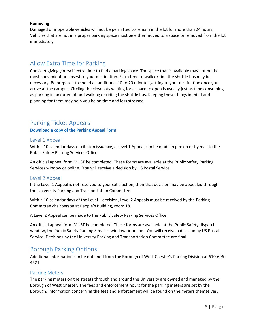#### **Removing**

Damaged or inoperable vehicles will not be permitted to remain in the lot for more than 24 hours. Vehicles that are not in a proper parking space must be either moved to a space or removed from the lot immediately.

# <span id="page-4-0"></span>Allow Extra Time for Parking

Consider giving yourself extra time to find a parking space. The space that is available may not be the most convenient or closest to your destination. Extra time to walk or ride the shuttle bus may be necessary. Be prepared to spend an additional 10 to 20 minutes getting to your destination once you arrive at the campus. Circling the close lots waiting for a space to open is usually just as time consuming as parking in an outer lot and walking or riding the shuttle bus. Keeping these things in mind and planning for them may help you be on time and less stressed.

# <span id="page-4-1"></span>Parking Ticket Appeals

**[Download a copy of the Parking Appeal Form](http://www.wcupa.edu/dps/documents/ParkingAppealForm.pdf)**

#### <span id="page-4-2"></span>Level 1 Appeal

Within 10 calendar days of citation issuance, a Level 1 Appeal can be made in person or by mail to the Public Safety Parking Services Office.

An official appeal form MUST be completed. These forms are available at the Public Safety Parking Services window or online. You will receive a decision by US Postal Service.

### <span id="page-4-3"></span>Level 2 Appeal

If the Level 1 Appeal is not resolved to your satisfaction, then that decision may be appealed through the University Parking and Transportation Committee.

Within 10 calendar days of the Level 1 decision, Level 2 Appeals must be received by the Parking Committee chairperson at People's Building, room 18.

A Level 2 Appeal can be made to the Public Safety Parking Services Office.

An official appeal form MUST be completed. These forms are available at the Public Safety dispatch window, the Public Safety Parking Services window or online. You will receive a decision by US Postal Service. Decisions by the University Parking and Transportation Committee are final.

# <span id="page-4-4"></span>Borough Parking Options

Additional information can be obtained from the Borough of West Chester's Parking Division at 610-696- 4521.

#### <span id="page-4-5"></span>Parking Meters

The parking meters on the streets through and around the University are owned and managed by the Borough of West Chester. The fees and enforcement hours for the parking meters are set by the Borough. Information concerning the fees and enforcement will be found on the meters themselves.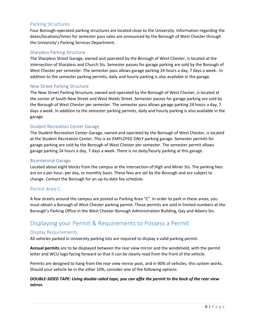### <span id="page-5-0"></span>Parking Structures

Four Borough-operated parking structures are located close to the University. Information regarding the dates/locations/times for semester pass sales are announced by the Borough of West Chester through the University's Parking Services Department.

#### <span id="page-5-1"></span>Sharpless Parking Structure

The Sharpless Street Garage, owned and operated by the Borough of West Chester, is located at the intersection of Sharpless and Church Sts. Semester passes for garage parking are sold by the Borough of West Chester per semester. The semester pass allows garage parking 24 hours a day, 7 days a week.. In addition to the semester parking permits, daily and hourly parking is also available in the garage.

#### <span id="page-5-2"></span>New Street Parking Structure

The New Street Parking Structure, owned and operated by the Borough of West Chester, is located at the corner of South New Street and West Nields Street. Semester passes for garage parking are sold by the Borough of West Chester per semester. The semester pass allows garage parking 24 hours a day, 7 days a week. In addition to the semester parking permits, daily and hourly parking is also available in the garage.

#### <span id="page-5-3"></span>Student Recreation Center Garage

The Student Recreation Center Garage, owned and operated by the Borough of West Chester, is located at the Student Recreation Center. This is an EMPLOYEE ONLY parking garage. Semester permits for garage parking are sold by the Borough of West Chester per semester. The semester permit allows garage parking 24 hours a day, 7 days a week. There is no daily/hourly parking at this garage.

#### Bicentennial Garage

Located about eight blocks from the campus at the intersection of High and Miner Sts. The parking fees are on a per hour, per day, or monthly basis. These fees are set by the Borough and are subject to change. Contact the Borough for an up-to-date fee schedule.

#### <span id="page-5-4"></span>Permit Area C

A few streets around the campus are posted as Parking Area "C". In order to park in these areas, you must obtain a Borough of West Chester parking permit. These permits are sold in limited numbers at the Borough's Parking Office in the West Chester Borough Administration Building, Gay and Adams Sts.

# <span id="page-5-5"></span>Displaying your Permit & Requirements to Possess a Permit

#### <span id="page-5-6"></span>Display Requirements

All vehicles parked in University parking lots are required to display a valid parking permit.

**Annual permits** are to be displayed between the rear view mirror and the windshield, with the permit letter and WCU logo facing forward so that it can be clearly read from the front of the vehicle.

Permits are designed to hang from the rear view mirror post, and in 90% of vehicles, this system works. Should your vehicle be in the other 10%, consider one of the following options:

#### *DOUBLE-SIDED TAPE: Using double-sided tape, you can affix the permit to the back of the rear view mirror.*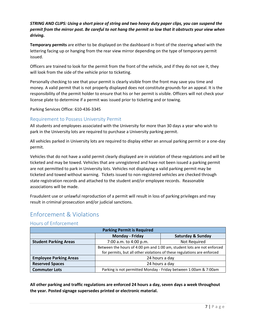### *STRING AND CLIPS: Using a short piece of string and two heavy duty paper clips, you can suspend the permit from the mirror post. Be careful to not hang the permit so low that it obstructs your view when driving.*

**Temporary permits** are either to be displayed on the dashboard in front of the steering wheel with the lettering facing up or hanging from the rear view mirror depending on the type of temporary permit issued.

Officers are trained to look for the permit from the front of the vehicle, and if they do not see it, they will look from the side of the vehicle prior to ticketing.

Personally checking to see that your permit is clearly visible from the front may save you time and money. A valid permit that is not properly displayed does not constitute grounds for an appeal. It is the responsibility of the permit holder to ensure that his or her permit is visible. Officers will not check your license plate to determine if a permit was issued prior to ticketing and or towing.

Parking Services Office: 610-436-3345

### <span id="page-6-0"></span>Requirement to Possess University Permit

All students and employees associated with the University for more than 30 days a year who wish to park in the University lots are required to purchase a University parking permit.

All vehicles parked in University lots are required to display either an annual parking permit or a one-day permit.

Vehicles that do not have a valid permit clearly displayed are in violation of these regulations and will be ticketed and may be towed. Vehicles that are unregistered and have not been issued a parking permit are not permitted to park in University lots. Vehicles not displaying a valid parking permit may be ticketed and towed without warning. Tickets issued to non-registered vehicles are checked through state registration records and attached to the student and/or employee records. Reasonable associations will be made.

Fraudulent use or unlawful reproduction of a permit will result in loss of parking privileges and may result in criminal prosecution and/or judicial sanctions.

# <span id="page-6-1"></span>Enforcement & Violations

### <span id="page-6-2"></span>Hours of Enforcement

| <b>Parking Permit is Required</b> |                                                                                                                                                    |                                                                  |
|-----------------------------------|----------------------------------------------------------------------------------------------------------------------------------------------------|------------------------------------------------------------------|
|                                   | <b>Monday - Friday</b>                                                                                                                             | <b>Saturday &amp; Sunday</b>                                     |
| <b>Student Parking Areas</b>      | 7:00 a.m. to 4:00 p.m.                                                                                                                             | Not Required                                                     |
|                                   | Between the hours of 4:00 pm and 1:00 am, student lots are not enforced<br>for permits, but all other violations of these regulations are enforced |                                                                  |
| <b>Employee Parking Areas</b>     |                                                                                                                                                    | 24 hours a day                                                   |
| <b>Reserved Spaces</b>            | 24 hours a day                                                                                                                                     |                                                                  |
| <b>Commuter Lots</b>              |                                                                                                                                                    | Parking is not permitted Monday - Friday between 1:00am & 7:00am |

**All other parking and traffic regulations are enforced 24 hours a day, seven days a week throughout the year. Posted signage supersedes printed or electronic material.**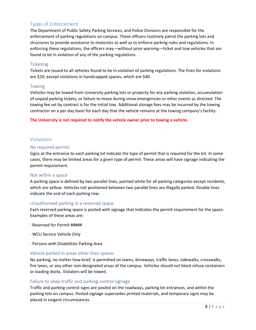# <span id="page-7-0"></span>Types of Enforcement

The Department of Public Safety Parking Services, and Police Divisions are responsible for the enforcement of parking regulations on campus. These officers routinely patrol the parking lots and structures to provide assistance to motorists as well as to enforce parking rules and regulations. In enforcing these regulations, the officers may—without prior warning—ticket and tow vehicles that are found to be in violation of any of the parking regulations.

#### <span id="page-7-1"></span>**Ticketing**

Tickets are issued to all vehicles found to be in violation of parking regulations. The fines for violations are \$20, except violations in handicapped spaces, which are \$40.

#### <span id="page-7-2"></span>Towing

Vehicles may be towed from University parking lots or property for any parking violation, accumulation of unpaid parking tickets, or failure to move during snow emergencies or other events as directed. The towing fee set by contract is for the initial tow. Additional storage fees may be incurred by the towing contractor on a per-day basis for each day that the vehicle remains at the towing company's facility.

**The University is not required to notify the vehicle owner prior to towing a vehicle.**

### <span id="page-7-3"></span>Violations

#### <span id="page-7-4"></span>No required permit:

Signs at the entrance to each parking lot indicate the type of permit that is required for the lot. In some cases, there may be limited areas for a given type of permit. These areas will have signage indicating the permit requirement.

#### <span id="page-7-5"></span>Not within a space

A parking space is defined by two parallel lines, painted white for all parking categories except residents, which are yellow. Vehicles not positioned between two parallel lines are illegally parked. Double lines indicate the end of each parking row.

#### <span id="page-7-6"></span>Unauthorized parking in a reserved space

Each reserved parking space is posted with signage that indicates the permit requirement for the space. Examples of these areas are:

- · Reserved for Permit #####
- · WCU Service Vehicle Only
- · Persons with Disabilities Parking Area

#### <span id="page-7-7"></span>Vehicle parked in areas other than spaces

No parking, no matter how brief, is permitted on lawns, driveways, traffic lanes, sidewalks, crosswalks, fire lanes, or any other non-designated areas of the campus. Vehicles should not block refuse containers or loading docks. Violators will be towed.

#### <span id="page-7-8"></span>Failure to obey traffic and parking control signage

Traffic and parking control signs are posted on the roadways, parking lot entrances, and within the parking lots on campus. Posted signage supersedes printed materials, and temporary signs may be placed in exigent circumstances.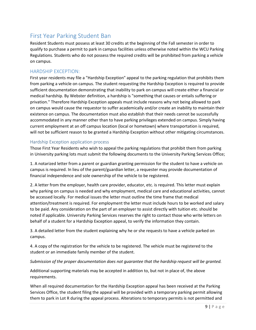# <span id="page-8-0"></span>First Year Parking Student Ban

Resident Students must possess at least 30 credits at the beginning of the Fall semester in order to qualify to purchase a permit to park in campus facilities unless otherwise noted within the WCU Parking Regulations. Students who do not possess the required credits will be prohibited from parking a vehicle on campus.

### <span id="page-8-1"></span>HARDSHIP EXCEPTION:

First year residents may file a "Hardship Exception" appeal to the parking regulation that prohibits them from parking a vehicle on campus. The student requesting the Hardship Exception is required to provide sufficient documentation demonstrating that inability to park on campus will create either a financial or medical hardship. By Webster definition, a hardship is "something that causes or entails suffering or privation." Therefore Hardship Exception appeals must include reasons why not being allowed to park on campus would cause the requestor to suffer academically and/or create an inability to maintain their existence on campus. The documentation must also establish that their needs cannot be successfully accommodated in any manner other than to have parking privileges extended on campus. Simply having current employment at an off campus location (local or hometown) where transportation is required, will not be sufficient reason to be granted a Hardship Exception without other mitigating circumstances.

### <span id="page-8-2"></span>Hardship Exception application process

Those First Year Residents who wish to appeal the parking regulations that prohibit them from parking in University parking lots must submit the following documents to the University Parking Services Office;

1. A notarized letter from a parent or guardian granting permission for the student to have a vehicle on campus is required. In lieu of the parent/guardian letter, a requester may provide documentation of financial independence and sole ownership of the vehicle to be registered.

2. A letter from the employer, health care provider, educator, etc. is required. This letter must explain why parking on campus is needed and why employment, medical care and educational activities, cannot be accessed locally. For medical issues the letter must outline the time frame that medical attention/treatment is required. For employment the letter must include hours to be worked and salary to be paid. Any consideration on the part of an employer to assist directly with tuition etc. should be noted if applicable. University Parking Services reserves the right to contact those who write letters on behalf of a student for a Hardship Exception appeal, to verify the information they contain.

3. A detailed letter from the student explaining why he or she requests to have a vehicle parked on campus.

4. A copy of the registration for the vehicle to be registered. The vehicle must be registered to the student or an immediate family member of the student.

#### *Submission of the proper documentation does not guarantee that the hardship request will be granted.*

Additional supporting materials may be accepted in addition to, but not in place of, the above requirements.

When all required documentation for the Hardship Exception appeal has been received at the Parking Services Office, the student filing the appeal will be provided with a temporary parking permit allowing them to park in Lot R during the appeal process. Alterations to temporary permits is not permitted and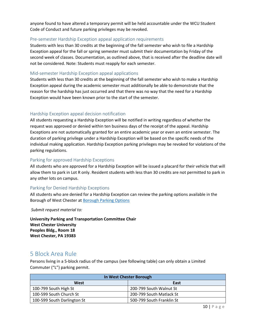anyone found to have altered a temporary permit will be held accountable under the WCU Student Code of Conduct and future parking privileges may be revoked.

#### <span id="page-9-0"></span>Pre-semester Hardship Exception appeal application requirements

Students with less than 30 credits at the beginning of the fall semester who wish to file a Hardship Exception appeal for the fall or spring semester must submit their documentation by Friday of the second week of classes. Documentation, as outlined above, that is received after the deadline date will not be considered. Note: Students must reapply for each semester.

#### <span id="page-9-1"></span>Mid-semester Hardship Exception appeal applications

Students with less than 30 credits at the beginning of the fall semester who wish to make a Hardship Exception appeal during the academic semester must additionally be able to demonstrate that the reason for the hardship has just occurred and that there was no way that the need for a Hardship Exception would have been known prior to the start of the semester.

#### <span id="page-9-2"></span>Hardship Exception appeal decision notification

All students requesting a Hardship Exception will be notified in writing regardless of whether the request was approved or denied within ten business days of the receipt of the appeal. Hardship Exceptions are not automatically granted for an entire academic year or even an entire semester. The duration of parking privilege under a Hardship Exception will be based on the specific needs of the individual making application. Hardship Exception parking privileges may be revoked for violations of the parking regulations.

#### <span id="page-9-3"></span>Parking for approved Hardship Exceptions

All students who are approved for a Hardship Exception will be issued a placard for their vehicle that will allow them to park in Lot R only. Resident students with less than 30 credits are not permitted to park in any other lots on campus.

#### <span id="page-9-4"></span>Parking for Denied Hardship Exceptions

All students who are denied for a Hardship Exception can review the parking options available in the Borough of West Chester at [Borough Parking Options](http://www.wcupa.edu/dps/BoroPark.asp)

*Submit request material to:*

**University Parking and Transportation Committee Chair West Chester University Peoples Bldg., Room 18 West Chester, PA 19383**

# <span id="page-9-5"></span>5 Block Area Rule

Persons living in a 5-block radius of the campus (see following table) can only obtain a Limited Commuter ("L") parking permit.

| In West Chester Borough     |                           |  |
|-----------------------------|---------------------------|--|
| West                        | East                      |  |
| 100-799 South High St       | 200-799 South Walnut St   |  |
| 100-599 South Church St     | 200-799 South Matlack St  |  |
| 100-599 South Darlington St | 500-799 South Franklin St |  |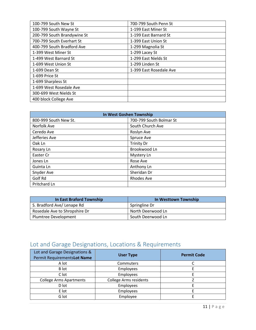| 100-799 South New St        | 700-799 South Penn St   |
|-----------------------------|-------------------------|
| 100-799 South Wayne St      | 1-199 East Miner St     |
| 200-799 South Brandywine St | 1-199 East Barnard St   |
| 700-799 South Everhart St   | 1-399 East Union St     |
| 400-799 South Bradford Ave  | 1-299 Magnolia St       |
| 1-399 West Miner St         | 1-299 Lacey St          |
| 1-499 West Barnard St       | 1-299 East Nields St    |
| 1-699 West Union St         | 1-299 Linden St         |
| 1-699 Dean St               | 1-399 East Rosedale Ave |
| 1-699 Price St              |                         |
| 1-699 Sharpless St          |                         |
| 1-699 West Rosedale Ave     |                         |
| 300-699 West Nields St      |                         |
| 400 block College Ave       |                         |

| In West Goshen Township |                         |  |
|-------------------------|-------------------------|--|
| 800-999 South New St.   | 700-799 South Bolmar St |  |
| Norfolk Ave             | South Church Ave        |  |
| Ceredo Ave              | Roslyn Ave              |  |
| Jefferies Ave           | Spruce Ave              |  |
| Oak Ln                  | <b>Trinity Dr</b>       |  |
| Rosary Ln               | Brookwood Ln            |  |
| Easter Cr               | Mystery Ln              |  |
| Jones Ln                | Rose Ave                |  |
| Guinta Ln               | Anthony Ln              |  |
| Snyder Ave              | Sheridan Dr             |  |
| Golf Rd                 | <b>Rhodes Ave</b>       |  |
| Pritchard Ln            |                         |  |

| <b>In East Braford Township</b> | In Westtown Township |
|---------------------------------|----------------------|
| S. Bradford Ave/Lenape Rd       | Springline Dr        |
| Rosedale Ave to Shropshire Dr   | North Deerwood Ln    |
| Plumtree Development            | South Deerwood Ln    |

# <span id="page-10-0"></span>Lot and Garage Designations, Locations & Requirements

<span id="page-10-1"></span>

| Lot and Garage Designations &<br>Permit RequirementsLot Name | <b>User Type</b>              | <b>Permit Code</b> |
|--------------------------------------------------------------|-------------------------------|--------------------|
| A lot                                                        | Commuters                     |                    |
| B lot                                                        | Employees                     |                    |
| C lot                                                        | Employees                     |                    |
| <b>College Arms Apartments</b>                               | <b>College Arms residents</b> |                    |
| D lot                                                        | Employees                     |                    |
| E lot                                                        | Employees                     |                    |
| G lot                                                        | Employee                      |                    |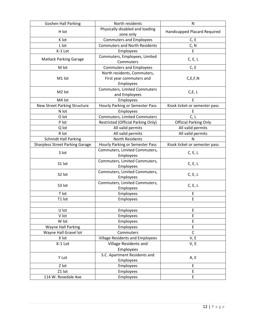| Goshen Hall Parking                    | North residents                        | N                             |
|----------------------------------------|----------------------------------------|-------------------------------|
| H lot                                  | Physically disabled and loading        |                               |
|                                        | zone only                              | Handicapped Placard Required  |
| K lot                                  | <b>Commuters and Employees</b>         | C, E                          |
| L lot                                  | <b>Commuters and North Residents</b>   | C, N                          |
| K-1 Lot                                | Employees                              | E                             |
| <b>Matlack Parking Garage</b>          | Commuters, Employees, Limited          | C, E, L                       |
|                                        | Commuters                              |                               |
| M lot                                  | <b>Commuters and Employees</b>         | C, E                          |
|                                        | North residents, Commuters,            |                               |
| M1 lot                                 | First year commuters and               | C, E, F, N                    |
|                                        | Employees                              |                               |
| M <sub>2</sub> lot                     | <b>Commuters, Limited Commuters</b>    | C, E, L                       |
|                                        | and Employees                          |                               |
| M4 lot                                 | Employees                              | F                             |
| New Street Parking Structure           | Hourly Parking or Semester Pass        | Kiosk ticket or semester pass |
| N lot                                  | Employees                              | E                             |
| O lot                                  | Commuters, Limited Commuters           | C, L                          |
| P lot                                  | Restricted (Official Parking Only)     | <b>Official Parking Only</b>  |
| Q lot                                  | All valid permits                      | All valid permits             |
| R lot                                  | All valid permits                      | All valid permits             |
| <b>Schmidt Hall Parking</b>            | North Residents                        | Ν                             |
| <b>Sharpless Street Parking Garage</b> | Hourly Parking or Semester Pass        | Kiosk ticket or semester pass |
| S lot                                  | Commuters, Limited Commuters,          |                               |
|                                        | Employees                              | C, E, L                       |
| S1 lot                                 | Commuters, Limited Commuters,          | C, E, L                       |
|                                        | Employees                              |                               |
| S2 lot                                 | Commuters, Limited Commuters,          | C, E, L                       |
|                                        | Employees                              |                               |
| S3 lot                                 | Commuters, Limited Commuters,          | C, E, L                       |
|                                        | Employees                              |                               |
| T lot                                  | Employees                              | Ε                             |
| T1 lot                                 | Employees                              | E                             |
|                                        |                                        |                               |
| U lot                                  | Employees                              | E                             |
| V lot                                  | Employees                              | E                             |
| W lot                                  | Employees                              | E                             |
| <b>Wayne Hall Parking</b>              | Employees                              | E                             |
| Wayne Hall Gravel lot                  | Commuters                              | $\mathsf{C}$                  |
| X lot                                  | <b>Village Residents and Employees</b> | V, E                          |
| X-1 Lot                                | Village Residents and                  | V, E                          |
|                                        | Employees                              |                               |
| Y Lot                                  | S.C. Apartment Residents and           | A, E                          |
|                                        | Employees                              |                               |
| Z lot                                  | Employees                              | E                             |
| Z1 lot                                 | Employees                              | E                             |
| 114 W. Rosedale Ave                    | Employees                              | E                             |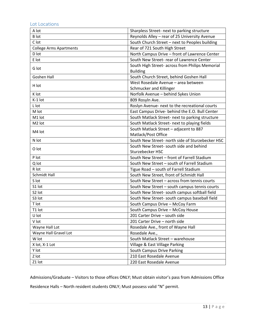# <span id="page-12-0"></span>Lot Locations

| A lot                          | Sharpless Street- next to parking structure      |  |
|--------------------------------|--------------------------------------------------|--|
| <b>B</b> lot                   | Reynolds Alley - rear of 25 University Avenue    |  |
| C lot                          | South Church Street - next to Peoples building   |  |
| <b>College Arms Apartments</b> | Rear of 721 South High Street                    |  |
| D lot                          | North Campus Drive - front of Lawrence Center    |  |
| E lot                          | South New Street- rear of Lawrence Center        |  |
| G lot                          | South High Street- across from Philips Memorial  |  |
|                                | <b>Building</b>                                  |  |
| Goshen Hall                    | South Church Street, behind Goshen Hall          |  |
| H lot                          | West Rosedale Avenue - area between              |  |
|                                | Schmucker and Killinger                          |  |
| K lot                          | Norfolk Avenue - behind Sykes Union              |  |
| K-1 lot                        | 809 Rosyln Ave.                                  |  |
| L lot                          | Roslyn Avenue- next to the recreational courts   |  |
| M lot                          | East Campus Drive- behind the E.O. Bull Center   |  |
| M1 lot                         | South Matlack Street- next to parking structure  |  |
| M <sub>2</sub> lot             | South Matlack Street- next to playing fields     |  |
|                                | South Matlack Street - adjacent to 887           |  |
| M4 lot                         | Matlack/Post Office                              |  |
| N lot                          | South New Street- north side of Sturzebecker HSC |  |
| O lot                          | South New Street- south side and behind          |  |
|                                | Sturzebecker HSC                                 |  |
| P lot                          | South New Street - front of Farrell Stadium      |  |
| Q lot                          | South New Street - south of Farrell Stadium      |  |
| R lot                          | Tigue Road - south of Farrell Stadium            |  |
| <b>Schmidt Hall</b>            | South New Street, front of Schmidt Hall          |  |
| S lot                          | South New Street - across from tennis courts     |  |
| S1 lot                         | South New Street - south campus tennis courts    |  |
| S2 lot                         | South New Street- south campus softball field    |  |
| S3 lot                         | South New Street- south campus baseball field    |  |
| T lot                          | South Campus Drive - McCoy Farm                  |  |
| T1 lot                         | South Campus Drive - McCoy House                 |  |
| U lot                          | 201 Carter Drive - south side                    |  |
| V lot                          | 201 Carter Drive - north side                    |  |
| Wayne Hall Lot                 | Rosedale Ave., front of Wayne Hall               |  |
| Wayne Hall Gravel Lot          | Rosedale Ave.,                                   |  |
| W lot                          | South Matlack Street - warehouse                 |  |
| X lot, X-1 Lot                 | Village & East Village Parking                   |  |
| Y lot                          | South Campus Drive Parking                       |  |
| Z lot                          | 210 East Rosedale Avenue                         |  |
| Z1 lot                         | 220 East Rosedale Avenue                         |  |

Admissions/Graduate – Visitors to those offices ONLY; Must obtain visitor's pass from Admissions Office

Residence Halls – North resident students ONLY; Must possess valid "N" permit.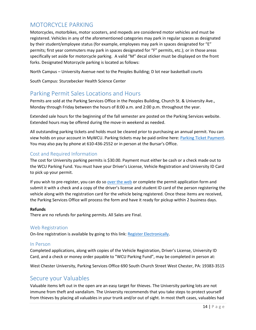# <span id="page-13-0"></span>MOTORCYCLE PARKING

Motorcycles, motorbikes, motor scooters, and mopeds are considered motor vehicles and must be registered. Vehicles in any of the aforementioned categories may park in regular spaces as designated by their student/employee status (for example, employees may park in spaces designated for "E" permits; first year commuters may park in spaces designated for "F" permits, etc.); or in those areas specifically set aside for motorcycle parking. A valid "M" decal sticker must be displayed on the front forks. Designated Motorcycle parking is located as follows:

North Campus – University Avenue next to the Peoples Building; D lot near basketball courts

South Campus: Sturzebecker Health Science Center

# <span id="page-13-1"></span>Parking Permit Sales Locations and Hours

Permits are sold at the Parking Services Office in the Peoples Building, Church St. & University Ave., Monday through Friday between the hours of 8:00 a.m. and 2:00 p.m. throughout the year.

Extended sale hours for the beginning of the fall semester are posted on the Parking Services website. Extended hours may be offered during the move-in weekend as needed.

All outstanding parking tickets and holds must be cleared prior to purchasing an annual permit. You can view holds on your account in MyWCU. Parking tickets may be paid online here: [Parking Ticket](https://www.wcupa.edu/dps/forms/parkingticketpayment/LoginForm.aspx) Payment. You may also pay by phone at 610-436-2552 or in person at the Bursar's Office.

### <span id="page-13-2"></span>Cost and Required Information

The cost for University parking permits is \$30.00. Payment must either be cash or a check made out to the WCU Parking Fund. You must have your Driver's License, Vehicle Registration and University ID Card to pick up your permit.

If you wish to pre-register, you can do s[o over the web](https://wcupa.edu/Permits/) or complete the permit application form and submit it with a check and a copy of the driver's license and student ID card of the person registering the vehicle along with the registration card for the vehicle being registered. Once these items are received, the Parking Services Office will process the form and have it ready for pickup within 2 business days.

#### **Refunds**

There are no refunds for parking permits. All Sales are Final.

#### <span id="page-13-3"></span>Web Registration

On-line registration is available by going to this link: [Register Electronically.](https://wcupa.edu/Permits/)

#### In Person

Completed applications, along with copies of the Vehicle Registration, Driver's License, University ID Card, and a check or money order payable to "WCU Parking Fund", may be completed in person at:

West Chester University, Parking Services Office 690 South Church Street West Chester, PA: 19383-3515

# <span id="page-13-4"></span>Secure your Valuables

Valuable items left out in the open are an easy target for thieves. The University parking lots are not immune from theft and vandalism. The University recommends that you take steps to protect yourself from thieves by placing all valuables in your trunk and/or out of sight. In most theft cases, valuables had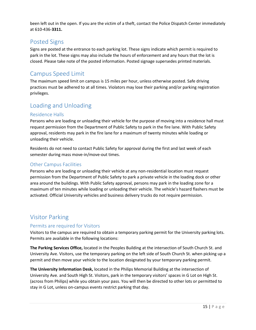been left out in the open. If you are the victim of a theft, contact the Police Dispatch Center immediately at 610-436-**3311.**

# <span id="page-14-0"></span>Posted Signs

Signs are posted at the entrance to each parking lot. These signs indicate which permit is required to park in the lot. These signs may also include the hours of enforcement and any hours that the lot is closed. Please take note of the posted information. Posted signage supersedes printed materials.

# <span id="page-14-1"></span>Campus Speed Limit

The maximum speed limit on campus is 15 miles per hour, unless otherwise posted. Safe driving practices must be adhered to at all times. Violators may lose their parking and/or parking registration privileges.

# <span id="page-14-2"></span>Loading and Unloading

### <span id="page-14-3"></span>Residence Halls

Persons who are loading or unloading their vehicle for the purpose of moving into a residence hall must request permission from the Department of Public Safety to park in the fire lane. With Public Safety approval, residents may park in the fire lane for a maximum of twenty minutes while loading or unloading their vehicle.

Residents do not need to contact Public Safety for approval during the first and last week of each semester during mass move-in/move-out times.

### <span id="page-14-4"></span>Other Campus Facilities

Persons who are loading or unloading their vehicle at any non-residential location must request permission from the Department of Public Safety to park a private vehicle in the loading dock or other area around the buildings. With Public Safety approval, persons may park in the loading zone for a maximum of ten minutes while loading or unloading their vehicle. The vehicle's hazard flashers must be activated. Official University vehicles and business delivery trucks do not require permission.

# <span id="page-14-5"></span>Visitor Parking

### <span id="page-14-6"></span>Permits are required for Visitors

Visitors to the campus are required to obtain a temporary parking permit for the University parking lots. Permits are available in the following locations:

**The Parking Services Office,** located in the Peoples Building at the intersection of South Church St. and University Ave. Visitors, use the temporary parking on the left side of South Church St. when picking up a permit and then move your vehicle to the location designated by your temporary parking permit.

**The University Information Desk,** located in the Philips Memorial Building at the intersection of University Ave. and South High St. Visitors, park in the temporary visitors' spaces in G Lot on High St. (across from Philips) while you obtain your pass. You will then be directed to other lots or permitted to stay in G Lot, unless on-campus events restrict parking that day.